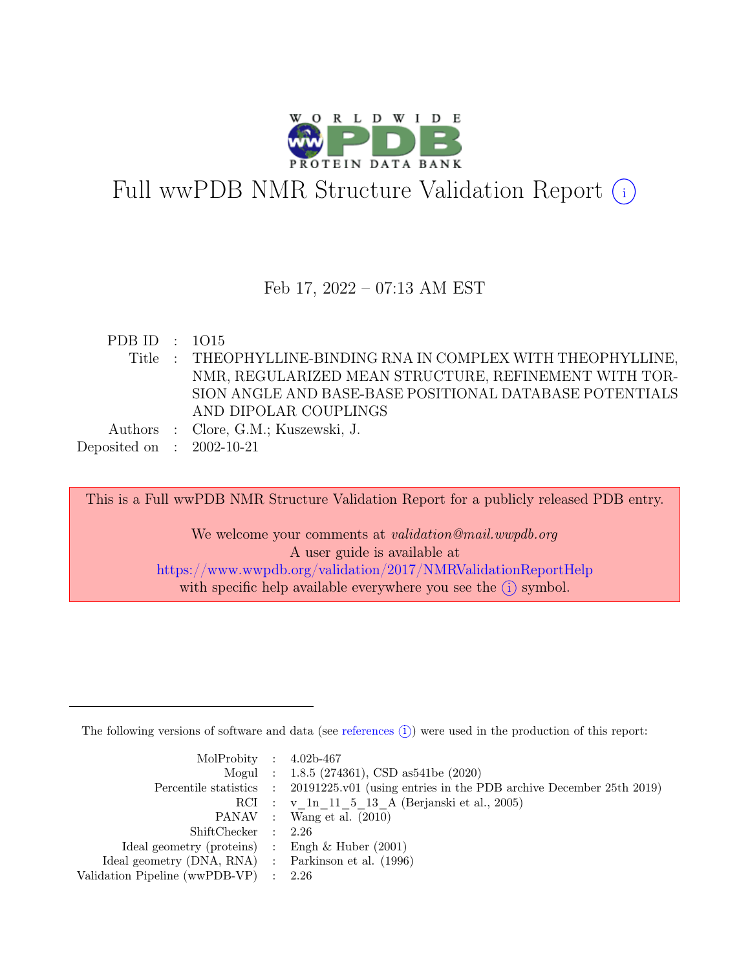

# Full wwPDB NMR Structure Validation Report (i)

#### Feb 17, 2022 – 07:13 AM EST

| PDB ID : $1015$             |                                                               |
|-----------------------------|---------------------------------------------------------------|
|                             | Title: THEOPHYLLINE-BINDING RNA IN COMPLEX WITH THEOPHYLLINE, |
|                             | NMR, REGULARIZED MEAN STRUCTURE, REFINEMENT WITH TOR-         |
|                             | SION ANGLE AND BASE-BASE POSITIONAL DATABASE POTENTIALS       |
|                             | AND DIPOLAR COUPLINGS                                         |
|                             | Authors : Clore, G.M.; Kuszewski, J.                          |
| Deposited on : $2002-10-21$ |                                                               |

This is a Full wwPDB NMR Structure Validation Report for a publicly released PDB entry.

We welcome your comments at *validation@mail.wwpdb.org* A user guide is available at <https://www.wwpdb.org/validation/2017/NMRValidationReportHelp> with specific help available everywhere you see the  $(i)$  symbol.

The following versions of software and data (see [references](https://www.wwpdb.org/validation/2017/NMRValidationReportHelp#references)  $(i)$ ) were used in the production of this report:

| MolProbity : $4.02b-467$                            |                                                                                            |
|-----------------------------------------------------|--------------------------------------------------------------------------------------------|
|                                                     | Mogul : 1.8.5 (274361), CSD as541be (2020)                                                 |
|                                                     | Percentile statistics : 20191225.v01 (using entries in the PDB archive December 25th 2019) |
|                                                     | RCI : v 1n 11 5 13 A (Berjanski et al., 2005)                                              |
|                                                     | PANAV : Wang et al. (2010)                                                                 |
| ShiftChecker : 2.26                                 |                                                                                            |
| Ideal geometry (proteins) : Engh $\&$ Huber (2001)  |                                                                                            |
| Ideal geometry (DNA, RNA) : Parkinson et al. (1996) |                                                                                            |
| Validation Pipeline (wwPDB-VP) : 2.26               |                                                                                            |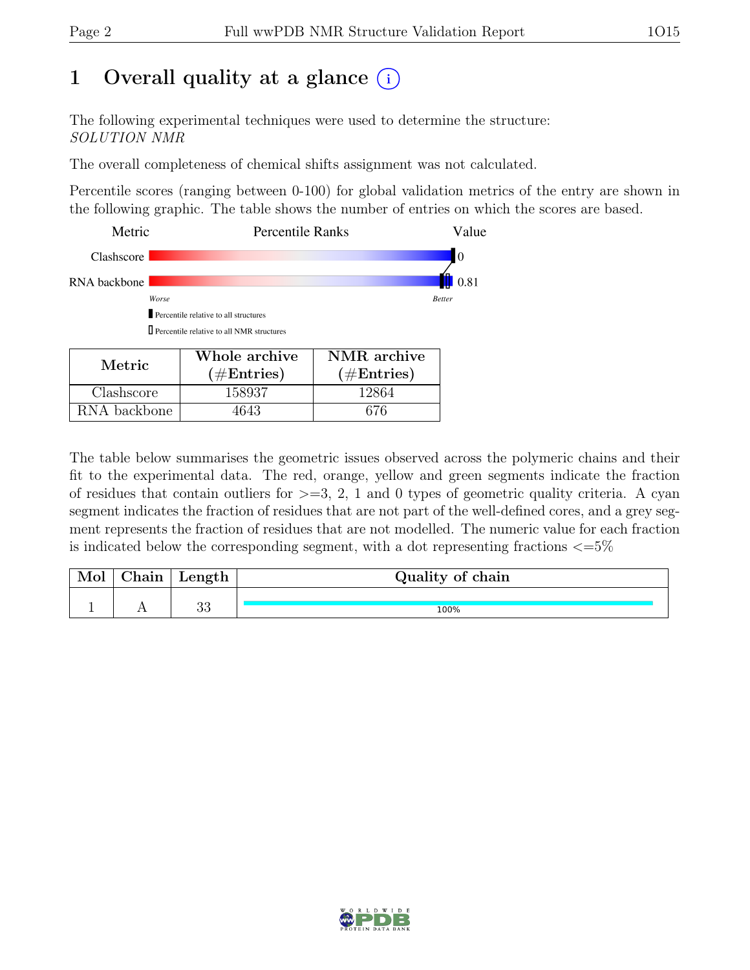## 1 Overall quality at a glance  $(i)$

The following experimental techniques were used to determine the structure: SOLUTION NMR

The overall completeness of chemical shifts assignment was not calculated.

Percentile scores (ranging between 0-100) for global validation metrics of the entry are shown in the following graphic. The table shows the number of entries on which the scores are based.

| Metric       |                                                   | <b>Percentile Ranks</b> |               |  |  |
|--------------|---------------------------------------------------|-------------------------|---------------|--|--|
| Clashscore   |                                                   |                         | I0            |  |  |
| RNA backbone |                                                   |                         | 0.81          |  |  |
| Worse        |                                                   |                         | <b>Better</b> |  |  |
|              | Percentile relative to all structures             |                         |               |  |  |
|              | $\prod$ Percentile relative to all NMR structures |                         |               |  |  |
|              | Whole archive                                     | NMR archive             |               |  |  |
| Metric       | $(\#\text{Entries})$                              | $(\#\text{Entries})$    |               |  |  |
| ashscore     | 158937                                            | 12864                   |               |  |  |

RNA backbone | 4643 | 676

The table below summarises the geometric issues observed across the polymeric chains and their fit to the experimental data. The red, orange, yellow and green segments indicate the fraction of residues that contain outliers for  $\geq$ =3, 2, 1 and 0 types of geometric quality criteria. A cyan segment indicates the fraction of residues that are not part of the well-defined cores, and a grey segment represents the fraction of residues that are not modelled. The numeric value for each fraction is indicated below the corresponding segment, with a dot representing fractions  $\epsilon = 5\%$ 

| Mol | Chain | $\perp$ Length | Quality of chain |
|-----|-------|----------------|------------------|
|     |       |                |                  |
|     |       | ററ<br>ಀಀ       | 100%             |

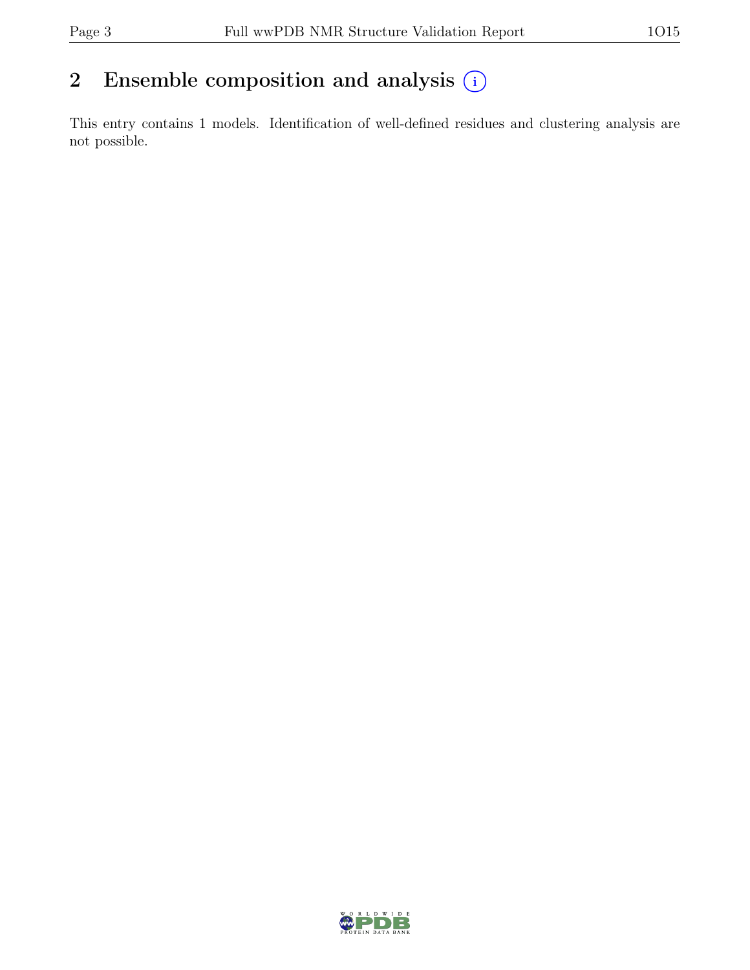### 2 Ensemble composition and analysis  $(i)$

This entry contains 1 models. Identification of well-defined residues and clustering analysis are not possible.

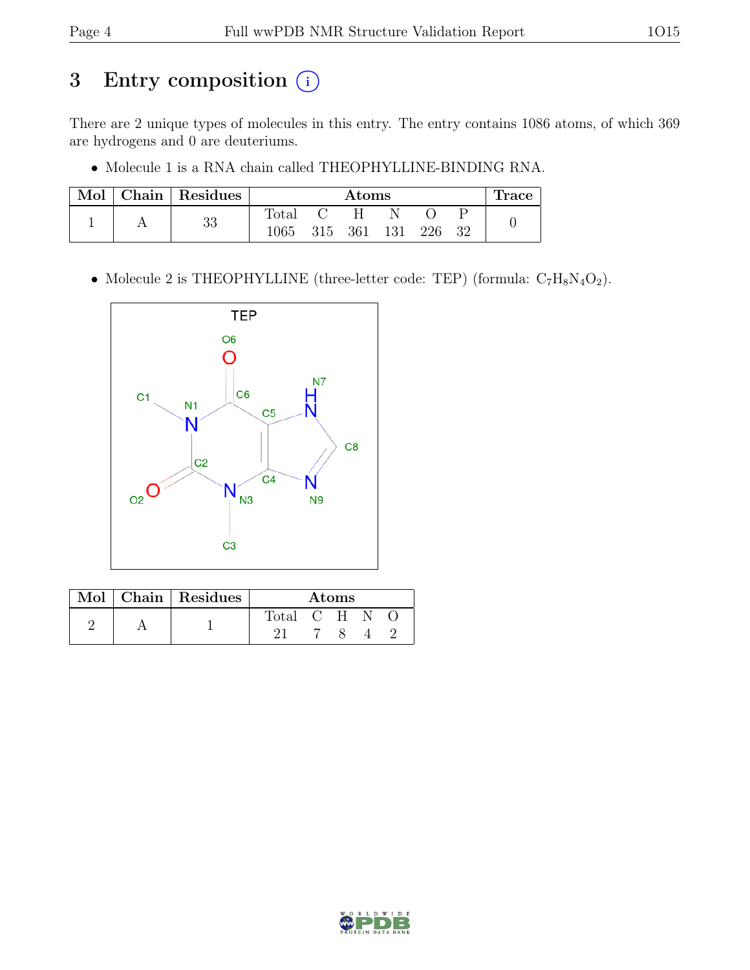### 3 Entry composition  $\circled{\scriptstyle i}$

There are 2 unique types of molecules in this entry. The entry contains 1086 atoms, of which 369 are hydrogens and 0 are deuteriums.

• Molecule 1 is a RNA chain called THEOPHYLLINE-BINDING RNA.

| Mol | $\vert$ Chain $\vert$ Residues | Atoms            |  |   |  |        |  | Trace |
|-----|--------------------------------|------------------|--|---|--|--------|--|-------|
|     | 33                             | Total C          |  | H |  |        |  |       |
|     |                                | 1065 315 361 131 |  |   |  | 226 32 |  |       |

• Molecule 2 is THEOPHYLLINE (three-letter code: TEP) (formula:  $C_7H_8N_4O_2$ ).



|  | Mol   Chain   Residues | Atoms |  |       |  |  |
|--|------------------------|-------|--|-------|--|--|
|  |                        | Total |  | $C-H$ |  |  |
|  |                        |       |  |       |  |  |

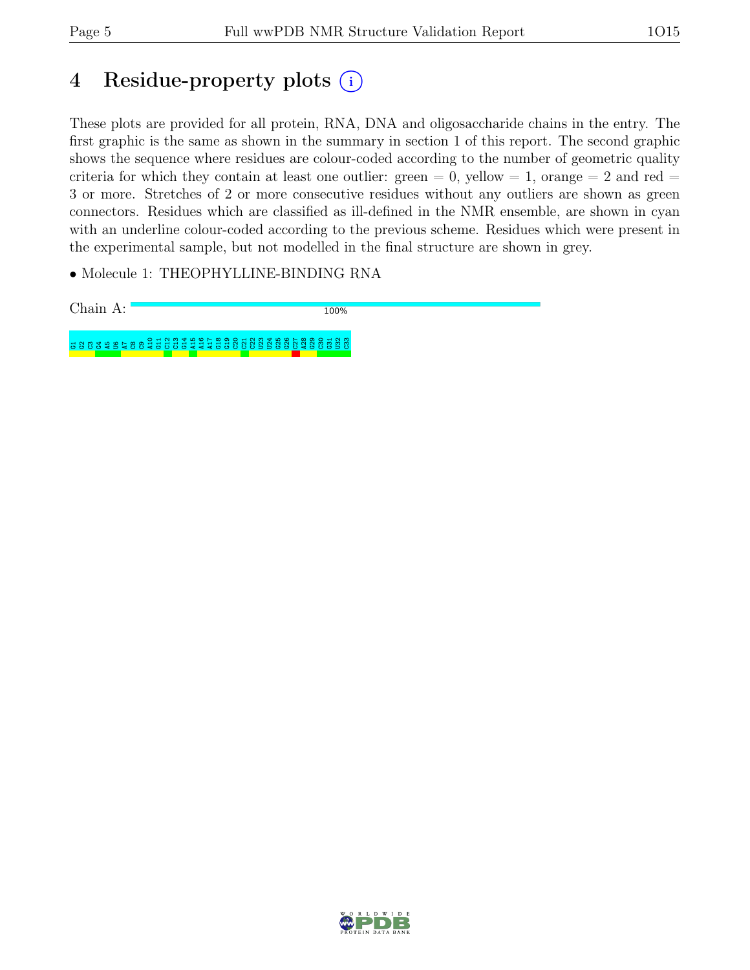## 4 Residue-property plots (i)

These plots are provided for all protein, RNA, DNA and oligosaccharide chains in the entry. The first graphic is the same as shown in the summary in section 1 of this report. The second graphic shows the sequence where residues are colour-coded according to the number of geometric quality criteria for which they contain at least one outlier: green  $= 0$ , yellow  $= 1$ , orange  $= 2$  and red  $=$ 3 or more. Stretches of 2 or more consecutive residues without any outliers are shown as green connectors. Residues which are classified as ill-defined in the NMR ensemble, are shown in cyan with an underline colour-coded according to the previous scheme. Residues which were present in the experimental sample, but not modelled in the final structure are shown in grey.

• Molecule 1: THEOPHYLLINE-BINDING RNA

Chain A: 100% G1G2C3G4A5U6A7 C8 C9 A10 G11 C12 C13 G14 A15 A16 A17 G18 G19 C20 C21 C22 U23 U24 G25 G26 C27 A28 G29 C30 G31 U32 C33

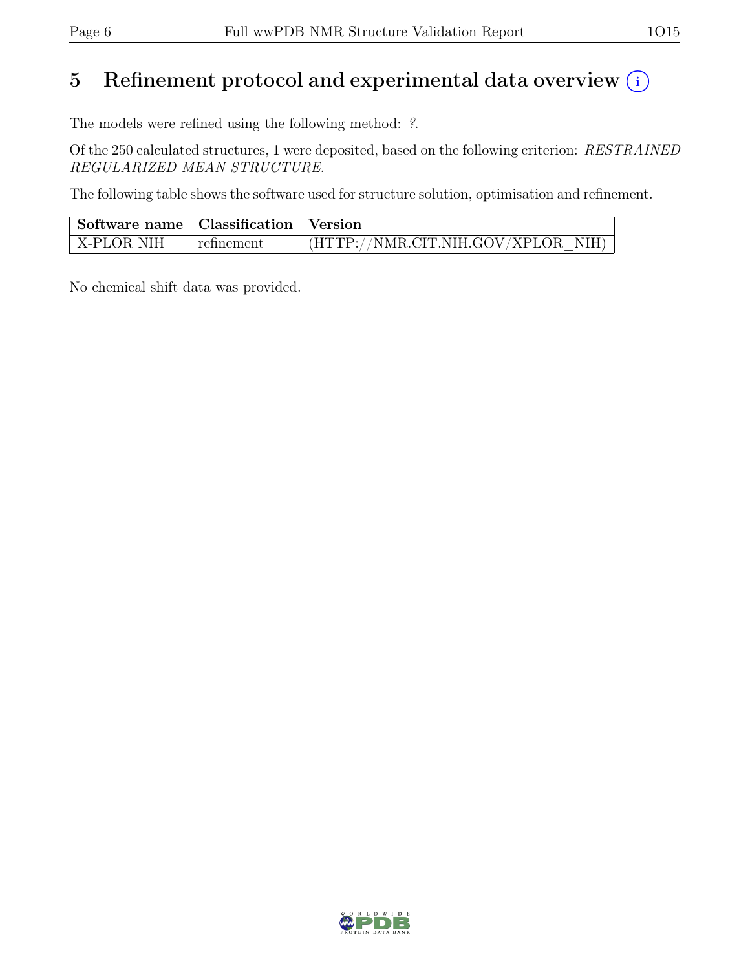## 5 Refinement protocol and experimental data overview  $(i)$

The models were refined using the following method: ?.

Of the 250 calculated structures, 1 were deposited, based on the following criterion: RESTRAINED REGULARIZED MEAN STRUCTURE.

The following table shows the software used for structure solution, optimisation and refinement.

| Software name   Classification   Version |            |                                    |
|------------------------------------------|------------|------------------------------------|
| X-PLOR NIH                               | refinement | (HTTP://NMR.CIT.NIH.GOV/XPLOR NIH) |

No chemical shift data was provided.

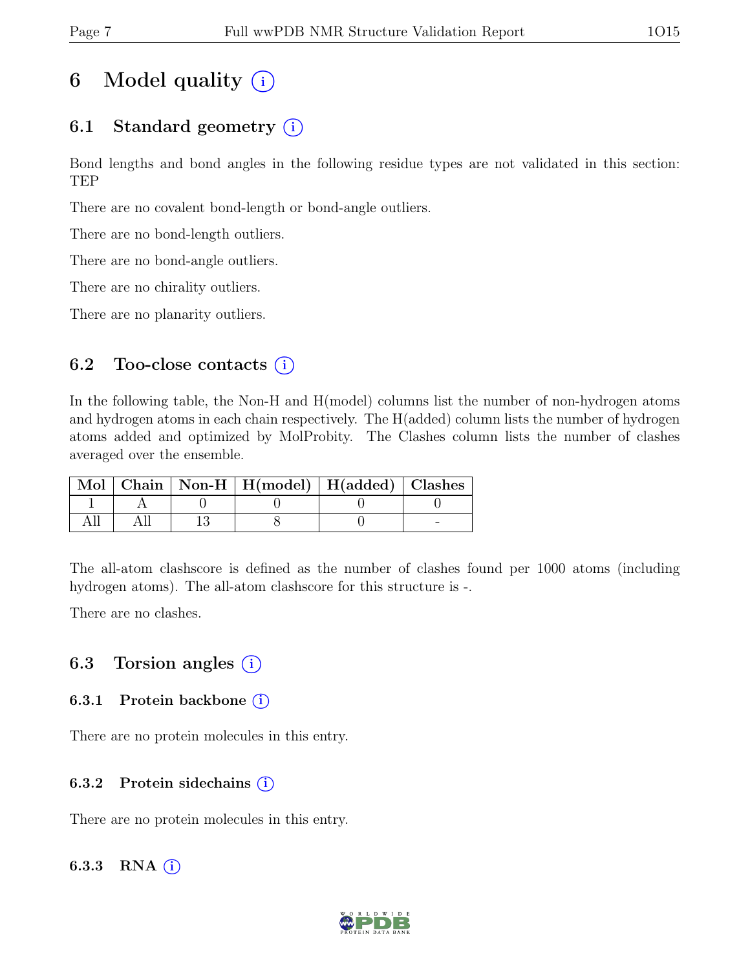## 6 Model quality  $(i)$

### 6.1 Standard geometry  $(i)$

Bond lengths and bond angles in the following residue types are not validated in this section: TEP

There are no covalent bond-length or bond-angle outliers.

There are no bond-length outliers.

There are no bond-angle outliers.

There are no chirality outliers.

There are no planarity outliers.

#### 6.2 Too-close contacts  $(i)$

In the following table, the Non-H and H(model) columns list the number of non-hydrogen atoms and hydrogen atoms in each chain respectively. The H(added) column lists the number of hydrogen atoms added and optimized by MolProbity. The Clashes column lists the number of clashes averaged over the ensemble.

|  | Mol   Chain   Non-H   H(model)   H(added)   Clashes |  |
|--|-----------------------------------------------------|--|
|  |                                                     |  |
|  |                                                     |  |

The all-atom clashscore is defined as the number of clashes found per 1000 atoms (including hydrogen atoms). The all-atom clashscore for this structure is -.

There are no clashes.

### 6.3 Torsion angles  $(i)$

#### 6.3.1 Protein backbone  $(i)$

There are no protein molecules in this entry.

#### 6.3.2 Protein sidechains  $(i)$

There are no protein molecules in this entry.

#### 6.3.3 RNA  $(i)$

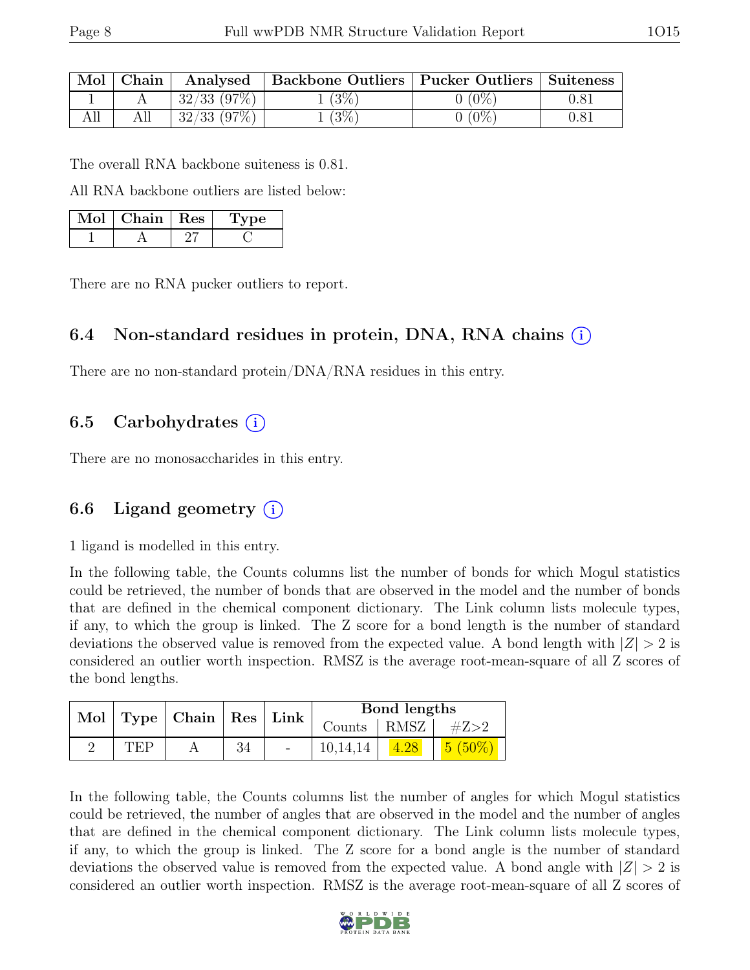| Mol | Chain | Analysed         | <b>Backbone Outliers</b> | Pucker Outliers | Suiteness |
|-----|-------|------------------|--------------------------|-----------------|-----------|
|     |       | $32/33$ (97\%)   | $(3\%)$                  | $'0\%$          |           |
|     |       | $32/33$ $(97\%)$ | (3%)                     | $'0\%$          |           |

The overall RNA backbone suiteness is 0.81.

All RNA backbone outliers are listed below:

| Mol | Chain   Res | 1 vpe |  |
|-----|-------------|-------|--|
|     |             |       |  |

There are no RNA pucker outliers to report.

### 6.4 Non-standard residues in protein, DNA, RNA chains (i)

There are no non-standard protein/DNA/RNA residues in this entry.

### 6.5 Carbohydrates  $(i)$

There are no monosaccharides in this entry.

### 6.6 Ligand geometry  $(i)$

1 ligand is modelled in this entry.

In the following table, the Counts columns list the number of bonds for which Mogul statistics could be retrieved, the number of bonds that are observed in the model and the number of bonds that are defined in the chemical component dictionary. The Link column lists molecule types, if any, to which the group is linked. The Z score for a bond length is the number of standard deviations the observed value is removed from the expected value. A bond length with  $|Z| > 2$  is considered an outlier worth inspection. RMSZ is the average root-mean-square of all Z scores of the bond lengths.

|     | Mol   Type   Chain   Res   Link |    | Bond lengths |                       |  |           |
|-----|---------------------------------|----|--------------|-----------------------|--|-----------|
|     |                                 |    |              | Counts   RMSZ $\vert$ |  | $\#Z{>}2$ |
| TEP |                                 | 34 | $\sim$       | 10,14,14              |  | (50%      |

In the following table, the Counts columns list the number of angles for which Mogul statistics could be retrieved, the number of angles that are observed in the model and the number of angles that are defined in the chemical component dictionary. The Link column lists molecule types, if any, to which the group is linked. The Z score for a bond angle is the number of standard deviations the observed value is removed from the expected value. A bond angle with  $|Z| > 2$  is considered an outlier worth inspection. RMSZ is the average root-mean-square of all Z scores of

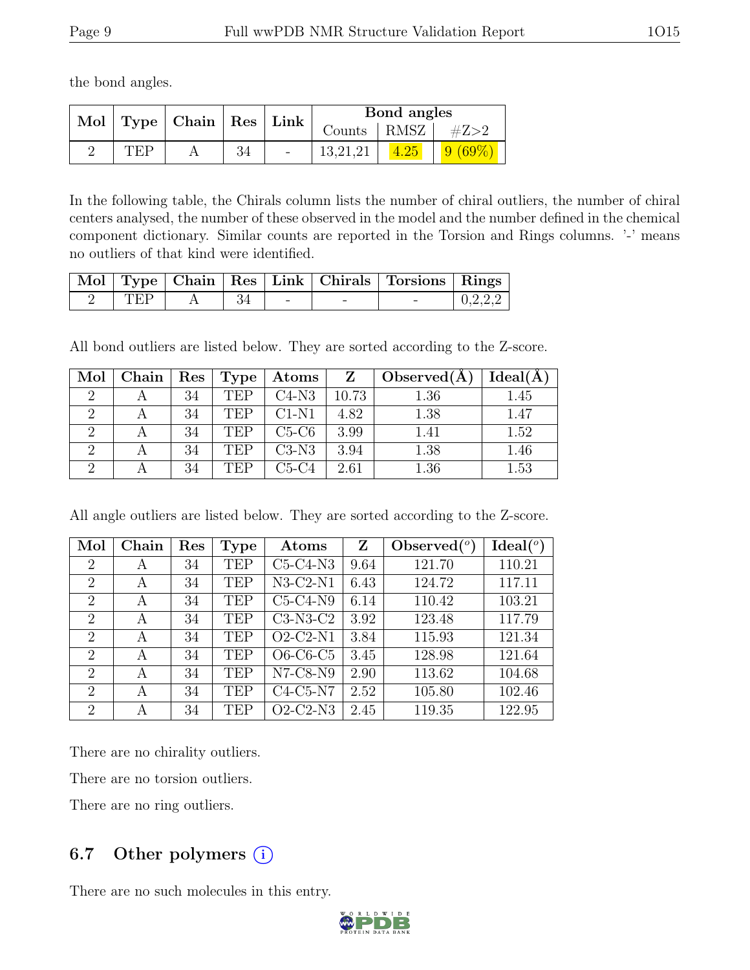the bond angles.

|        | Mol   Type   Chain   Res   Link |    | Bond angles              |                          |  |  |
|--------|---------------------------------|----|--------------------------|--------------------------|--|--|
|        |                                 |    |                          | $\mathrm{Counds}$   RMSZ |  |  |
| T'H'P. |                                 | 34 | $\overline{\phantom{a}}$ |                          |  |  |

In the following table, the Chirals column lists the number of chiral outliers, the number of chiral centers analysed, the number of these observed in the model and the number defined in the chemical component dictionary. Similar counts are reported in the Torsion and Rings columns. '-' means no outliers of that kind were identified.

|     |  |  | Mol   Type   Chain   Res   Link   Chirals   Torsions   Rings |         |
|-----|--|--|--------------------------------------------------------------|---------|
| TEP |  |  |                                                              | 0.2.2.2 |

All bond outliers are listed below. They are sorted according to the Z-score.

| Mol | Chain ' | $\operatorname{Res}\nolimits$ | Type       | $\rm{Atoms}$ |       | Observed(A) | Ideal(A) |
|-----|---------|-------------------------------|------------|--------------|-------|-------------|----------|
|     |         | 34                            | <b>TEP</b> | $C4-N3$      | 10.73 | 1.36        | 1.45     |
|     |         | 34                            | TEP        | $C1-N1$      | 4.82  | 1.38        | 1.47     |
|     |         | 34                            | TEP        | $C5-C6$      | 3.99  | 1.41        | 1.52     |
|     |         | 34                            | TEP        | $C3-N3$      | 3.94  | 1.38        | 1.46     |
|     |         | 34                            | <b>TEP</b> | C5-C4        | 2.61  | 1.36        | 1.53     |

All angle outliers are listed below. They are sorted according to the Z-score.

| Mol                         | Chain | Res | <b>Type</b> | Atoms                                | Z    | Observed $(°)$ | Ideal <sup>(o)</sup> |
|-----------------------------|-------|-----|-------------|--------------------------------------|------|----------------|----------------------|
| $\overline{2}$              | А     | 34  | <b>TEP</b>  | $C5-C4-N3$                           | 9.64 | 121.70         | 110.21               |
| $\overline{2}$              | A     | 34  | <b>TEP</b>  | $N3-C2-N1$                           | 6.43 | 124.72         | 117.11               |
| $\overline{2}$              | A     | 34  | <b>TEP</b>  | $C5-C4-N9$                           | 6.14 | 110.42         | 103.21               |
| $\overline{2}$              | A     | 34  | <b>TEP</b>  | $C3-N3-C2$                           | 3.92 | 123.48         | 117.79               |
| $\overline{2}$              | A     | 34  | <b>TEP</b>  | $O2$ -C <sub>2</sub> -N <sub>1</sub> | 3.84 | 115.93         | 121.34               |
| $\overline{2}$              | A     | 34  | <b>TEP</b>  | O6-C6-C5                             | 3.45 | 128.98         | 121.64               |
| $\overline{2}$              | A     | 34  | <b>TEP</b>  | $N7-C8-N9$                           | 2.90 | 113.62         | 104.68               |
| $\mathcal{D}_{\mathcal{L}}$ | А     | 34  | <b>TEP</b>  | $C4-C5-N7$                           | 2.52 | 105.80         | 102.46               |
| $\overline{2}$              | А     | 34  | <b>TEP</b>  | $O2-C2-N3$                           | 2.45 | 119.35         | 122.95               |

There are no chirality outliers.

There are no torsion outliers.

There are no ring outliers.

### 6.7 Other polymers  $(i)$

There are no such molecules in this entry.

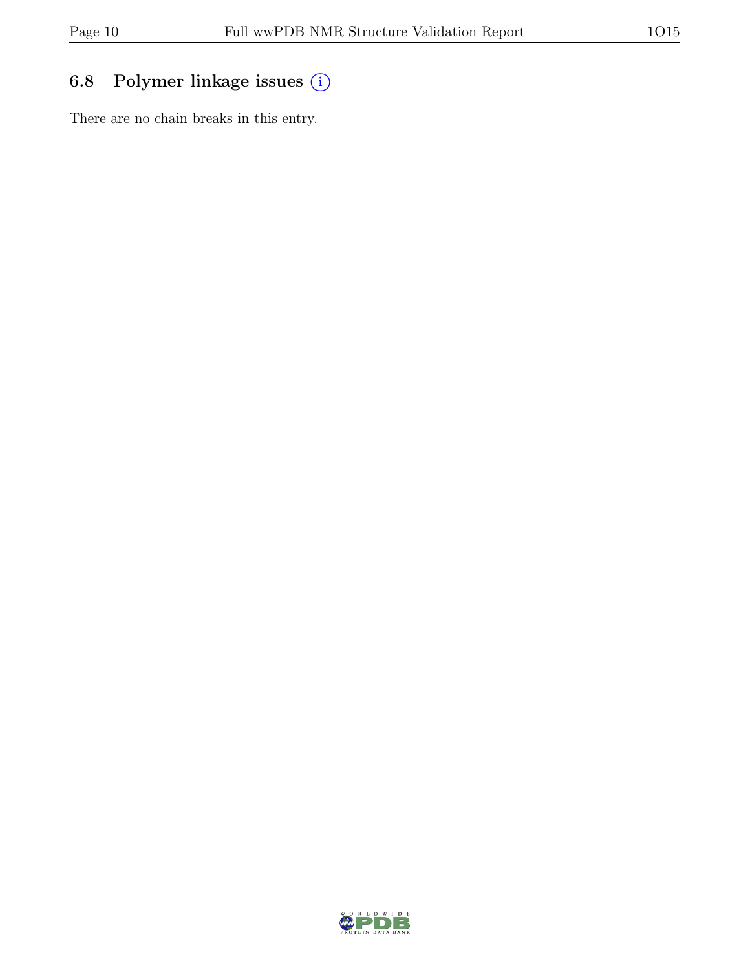### 6.8 Polymer linkage issues (i)

There are no chain breaks in this entry.